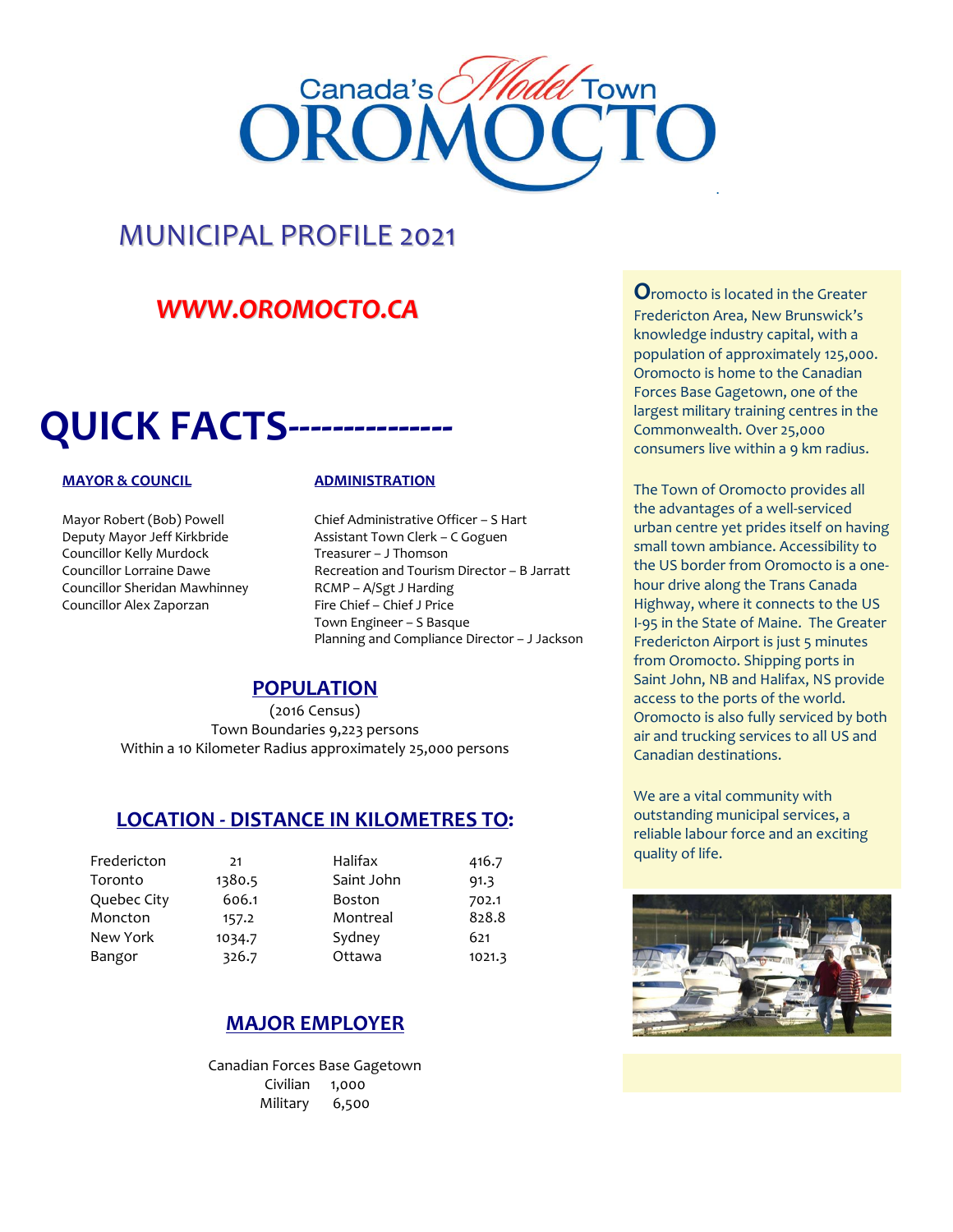

### MUNICIPAL PROFILE 2021

### *[WWW.OROMOCTO.CA](http://www.oromocto.ca/)*

### **QUICK FACTS---------------**

Councillor Kelly Murdock Treasurer – J Thomson Councillor Sheridan Mawhinney RCMP – A/Sgt J Harding Councillor Alex Zaporzan Fire Chief – Chief J Price

#### **MAYOR & COUNCIL ADMINISTRATION**

Mayor Robert (Bob) Powell Chief Administrative Officer - S Hart Deputy Mayor Jeff Kirkbride **Assistant Town Clerk - C Goguen** Councillor Lorraine Dawe Recreation and Tourism Director – B Jarratt Town Engineer – S Basque Planning and Compliance Director – J Jackson

#### **POPULATION**

(2016 Census) Town Boundaries 9,223 persons Within a 10 Kilometer Radius approximately 25,000 persons

#### **LOCATION - DISTANCE IN KILOMETRES TO:**

| 21     | Halifax       | 416.7  |
|--------|---------------|--------|
| 1380.5 | Saint John    | 91.3   |
| 606.1  | <b>Boston</b> | 702.1  |
| 157.2  | Montreal      | 828.8  |
| 1034.7 | Sydney        | 621    |
| 326.7  | Ottawa        | 1021.3 |
|        |               |        |

#### **MAJOR EMPLOYER**

Canadian Forces Base Gagetown Civilian 1,000 Military 6,500

**O**romocto is located in the Greater Fredericton Area, New Brunswick's knowledge industry capital, with a population of approximately 125,000. Oromocto is home to the Canadian Forces Base Gagetown, one of the largest military training centres in the Commonwealth. Over 25,000 consumers live within a 9 km radius.

The Town of Oromocto provides all the advantages of a well-serviced urban centre yet prides itself on having small town ambiance. Accessibility to the US border from Oromocto is a onehour drive along the Trans Canada Highway, where it connects to the US I-95 in the State of Maine. The Greater Fredericton Airport is just 5 minutes from Oromocto. Shipping ports in Saint John, NB and Halifax, NS provide access to the ports of the world. Oromocto is also fully serviced by both air and trucking services to all US and Canadian destinations.

We are a vital community with outstanding municipal services, a reliable labour force and an exciting quality of life.

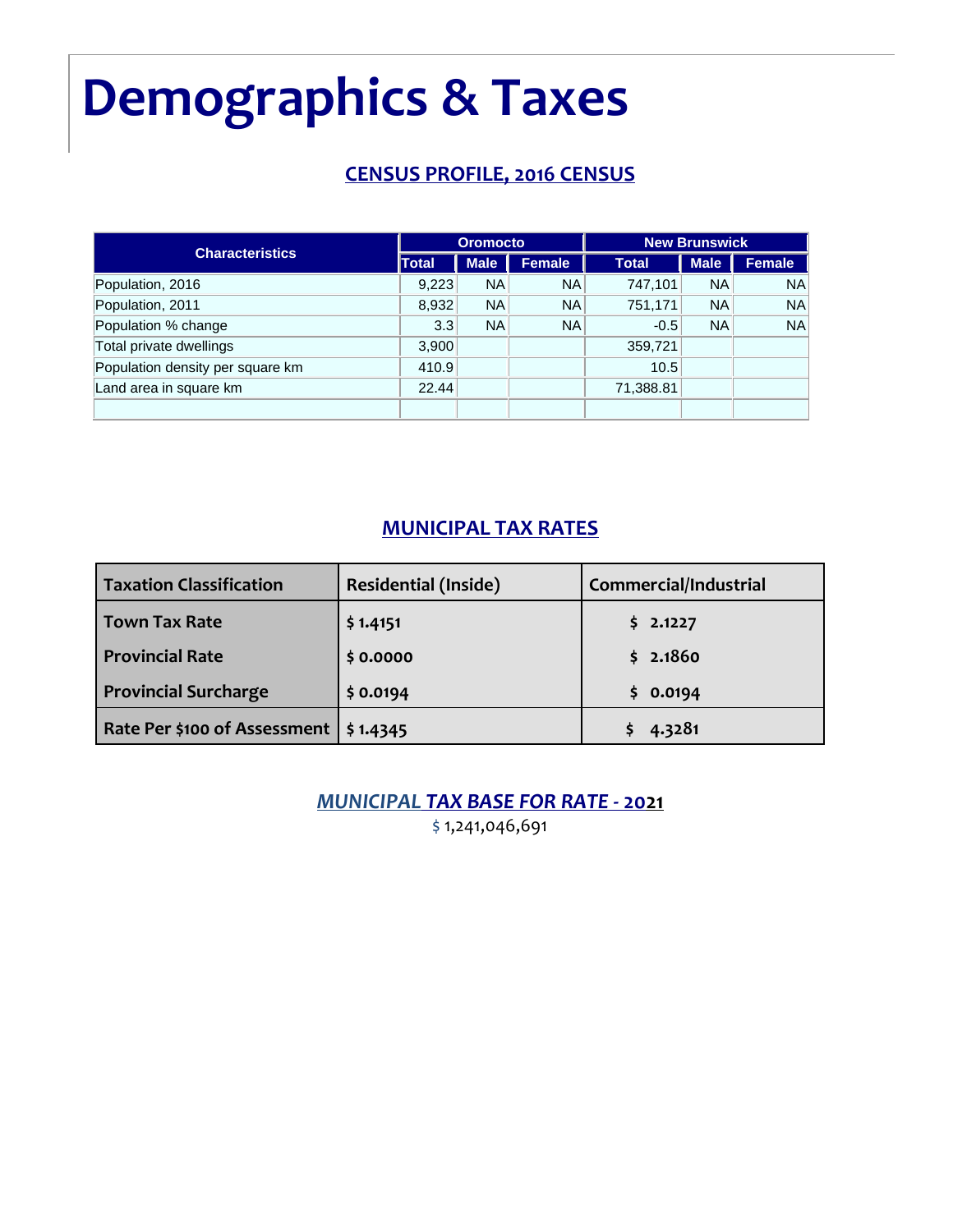### **Demographics & Taxes**

#### **CENSUS PROFILE, 2016 CENSUS**

| <b>Characteristics</b>           |       | <b>Oromocto</b> |           | <b>New Brunswick</b> |             |        |
|----------------------------------|-------|-----------------|-----------|----------------------|-------------|--------|
|                                  | Total | <b>Male</b>     | Female    | <b>Total</b>         | <b>Male</b> | Female |
| Population, 2016                 | 9,223 | <b>NA</b>       | <b>NA</b> | 747,101              | <b>NA</b>   | NA     |
| Population, 2011                 | 8,932 | <b>NA</b>       | <b>NA</b> | 751,171              | <b>NA</b>   | NA     |
| Population % change              | 3.3   | NA              | <b>NA</b> | $-0.5$               | <b>NA</b>   | NA     |
| Total private dwellings          | 3,900 |                 |           | 359,721              |             |        |
| Population density per square km | 410.9 |                 |           | 10.5                 |             |        |
| Land area in square km           | 22.44 |                 |           | 71,388.81            |             |        |
|                                  |       |                 |           |                      |             |        |

#### **MUNICIPAL TAX RATES**

| <b>Taxation Classification</b>          | <b>Residential (Inside)</b> | Commercial/Industrial |
|-----------------------------------------|-----------------------------|-----------------------|
| <b>Town Tax Rate</b>                    | \$1.4151                    | \$2.1227              |
| <b>Provincial Rate</b>                  | \$0.0000                    | \$2.1860              |
| <b>Provincial Surcharge</b>             | \$0.0194                    | \$0.0194              |
| Rate Per \$100 of Assessment   \$1.4345 |                             | 4.3281                |

*MUNICIPAL TAX BASE FOR RATE -* **2021**

\$ 1,241,046,691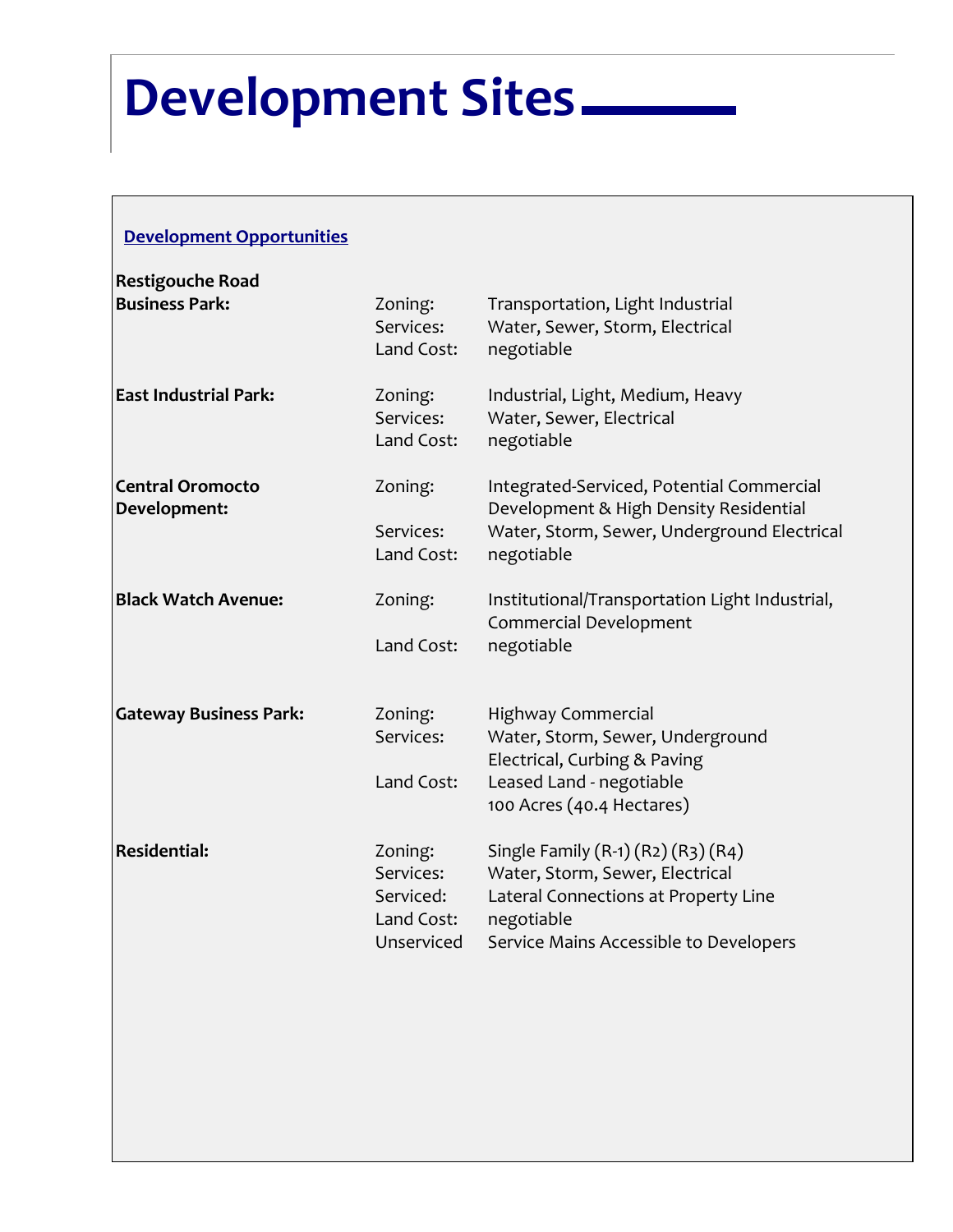### **Development Sites**

#### **Development Opportunities**

| <b>Restigouche Road</b>                 |                                                               |                                                                                                                                                                       |
|-----------------------------------------|---------------------------------------------------------------|-----------------------------------------------------------------------------------------------------------------------------------------------------------------------|
| <b>Business Park:</b>                   | Zoning:<br>Services:<br>Land Cost:                            | Transportation, Light Industrial<br>Water, Sewer, Storm, Electrical<br>negotiable                                                                                     |
| <b>East Industrial Park:</b>            | Zoning:<br>Services:<br>Land Cost:                            | Industrial, Light, Medium, Heavy<br>Water, Sewer, Electrical<br>negotiable                                                                                            |
| <b>Central Oromocto</b><br>Development: | Zoning:<br>Services:<br>Land Cost:                            | Integrated-Serviced, Potential Commercial<br>Development & High Density Residential<br>Water, Storm, Sewer, Underground Electrical<br>negotiable                      |
| <b>Black Watch Avenue:</b>              | Zoning:<br>Land Cost:                                         | Institutional/Transportation Light Industrial,<br>Commercial Development<br>negotiable                                                                                |
| <b>Gateway Business Park:</b>           | Zoning:<br>Services:<br>Land Cost:                            | <b>Highway Commercial</b><br>Water, Storm, Sewer, Underground<br>Electrical, Curbing & Paving<br>Leased Land - negotiable<br>100 Acres (40.4 Hectares)                |
| <b>Residential:</b>                     | Zoning:<br>Services:<br>Serviced:<br>Land Cost:<br>Unserviced | Single Family (R-1) (R2) (R3) (R4)<br>Water, Storm, Sewer, Electrical<br>Lateral Connections at Property Line<br>negotiable<br>Service Mains Accessible to Developers |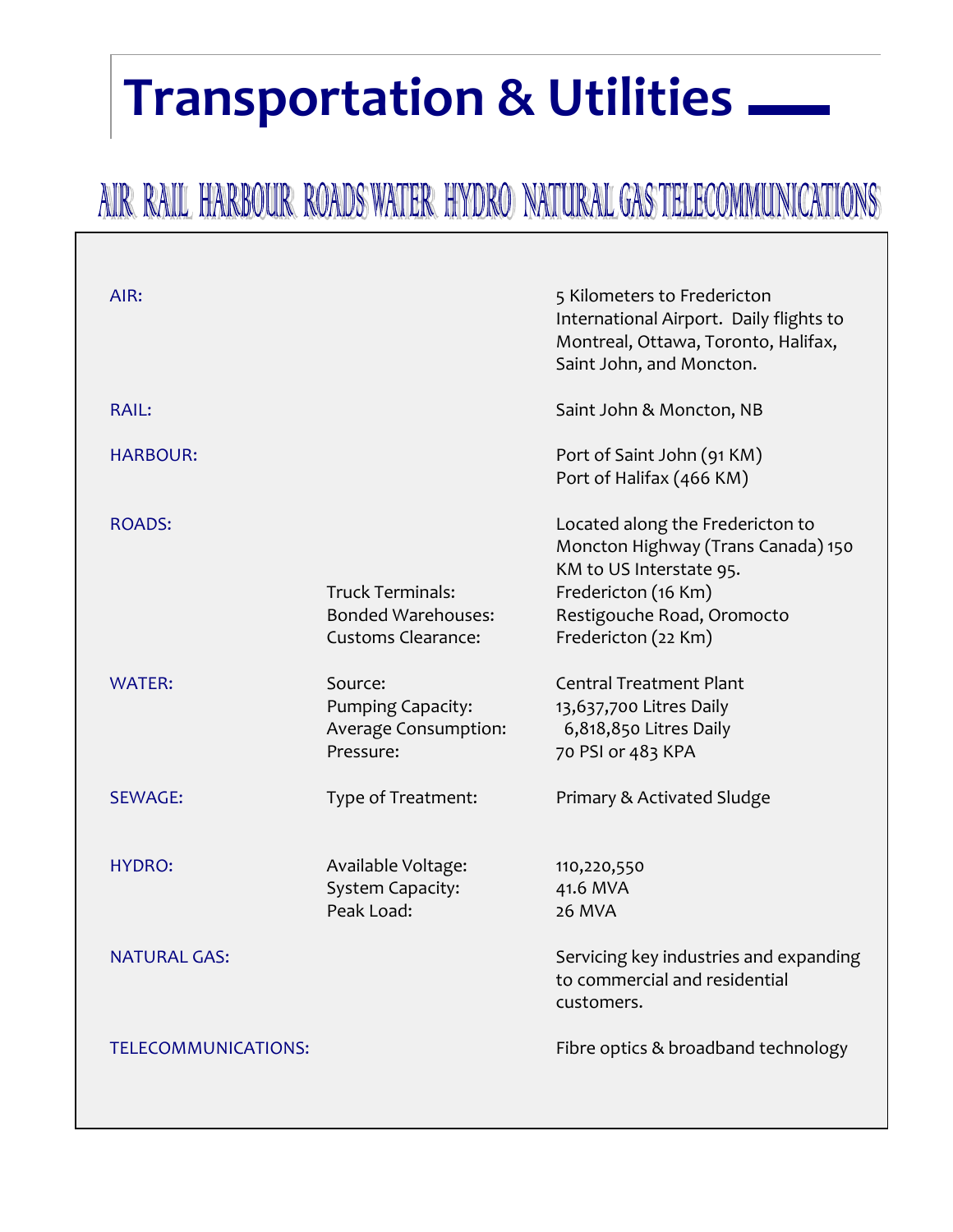### **Transportation & Utilities**

### AIR RAIL HARBOUR ROADS WATER HYDRO NATURAL GAS TELECOMMUNICATIONS

| AIR:                       |                                                                                   | 5 Kilometers to Fredericton<br>International Airport. Daily flights to<br>Montreal, Ottawa, Toronto, Halifax,<br>Saint John, and Moncton.                                     |
|----------------------------|-----------------------------------------------------------------------------------|-------------------------------------------------------------------------------------------------------------------------------------------------------------------------------|
| <b>RAIL:</b>               |                                                                                   | Saint John & Moncton, NB                                                                                                                                                      |
| <b>HARBOUR:</b>            |                                                                                   | Port of Saint John (91 KM)<br>Port of Halifax (466 KM)                                                                                                                        |
| ROADS:                     | <b>Truck Terminals:</b><br><b>Bonded Warehouses:</b><br><b>Customs Clearance:</b> | Located along the Fredericton to<br>Moncton Highway (Trans Canada) 150<br>KM to US Interstate 95.<br>Fredericton (16 Km)<br>Restigouche Road, Oromocto<br>Fredericton (22 Km) |
| <b>WATER:</b>              | Source:<br><b>Pumping Capacity:</b><br>Average Consumption:<br>Pressure:          | <b>Central Treatment Plant</b><br>13,637,700 Litres Daily<br>6,818,850 Litres Daily<br>70 PSI or 483 KPA                                                                      |
| <b>SEWAGE:</b>             | Type of Treatment:                                                                | Primary & Activated Sludge                                                                                                                                                    |
| HYDRO:                     | Available Voltage:<br>System Capacity:<br>Peak Load:                              | 110,220,550<br>41.6 MVA<br>26 MVA                                                                                                                                             |
| NATURAL GAS:               |                                                                                   | Servicing key industries and expanding<br>to commercial and residential<br>customers.                                                                                         |
| <b>TELECOMMUNICATIONS:</b> |                                                                                   | Fibre optics & broadband technology                                                                                                                                           |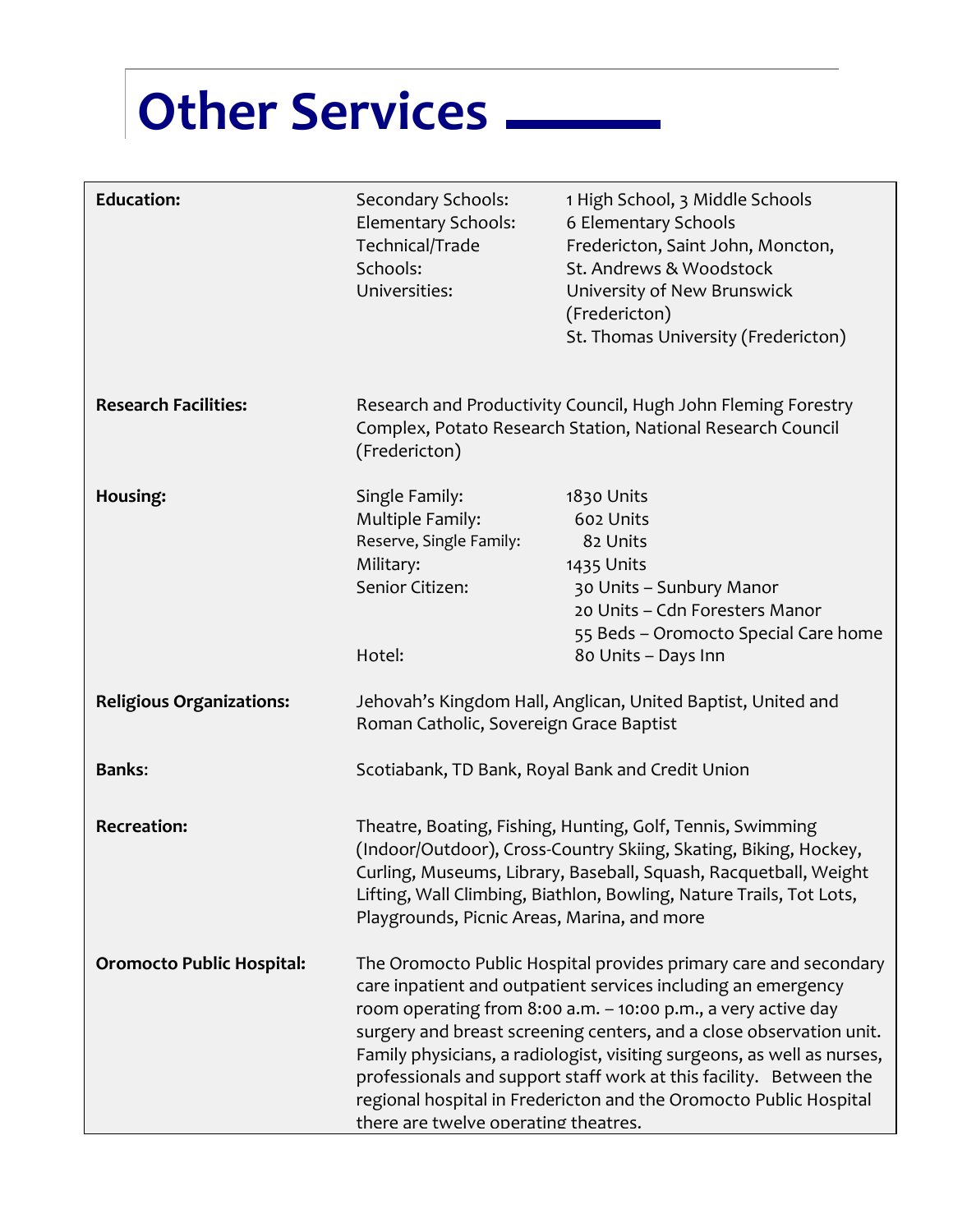## **Other Services**

| <b>Education:</b>                | Secondary Schools:<br>Elementary Schools:<br>Technical/Trade<br>Schools:<br>Universities:               | 1 High School, 3 Middle Schools<br>6 Elementary Schools<br>Fredericton, Saint John, Moncton,<br>St. Andrews & Woodstock<br>University of New Brunswick<br>(Fredericton)<br>St. Thomas University (Fredericton)                                                                                                                                                                                                                                                                                  |
|----------------------------------|---------------------------------------------------------------------------------------------------------|-------------------------------------------------------------------------------------------------------------------------------------------------------------------------------------------------------------------------------------------------------------------------------------------------------------------------------------------------------------------------------------------------------------------------------------------------------------------------------------------------|
| <b>Research Facilities:</b>      | (Fredericton)                                                                                           | Research and Productivity Council, Hugh John Fleming Forestry<br>Complex, Potato Research Station, National Research Council                                                                                                                                                                                                                                                                                                                                                                    |
| Housing:                         | Single Family:<br>Multiple Family:<br>Reserve, Single Family:<br>Military:<br>Senior Citizen:<br>Hotel: | 1830 Units<br>602 Units<br>82 Units<br>1435 Units<br>30 Units – Sunbury Manor<br>20 Units - Cdn Foresters Manor<br>55 Beds - Oromocto Special Care home<br>80 Units - Days Inn                                                                                                                                                                                                                                                                                                                  |
| <b>Religious Organizations:</b>  | Roman Catholic, Sovereign Grace Baptist                                                                 | Jehovah's Kingdom Hall, Anglican, United Baptist, United and                                                                                                                                                                                                                                                                                                                                                                                                                                    |
| <b>Banks:</b>                    |                                                                                                         | Scotiabank, TD Bank, Royal Bank and Credit Union                                                                                                                                                                                                                                                                                                                                                                                                                                                |
| <b>Recreation:</b>               | Playgrounds, Picnic Areas, Marina, and more                                                             | Theatre, Boating, Fishing, Hunting, Golf, Tennis, Swimming<br>(Indoor/Outdoor), Cross-Country Skiing, Skating, Biking, Hockey,<br>Curling, Museums, Library, Baseball, Squash, Racquetball, Weight<br>Lifting, Wall Climbing, Biathlon, Bowling, Nature Trails, Tot Lots,                                                                                                                                                                                                                       |
| <b>Oromocto Public Hospital:</b> | there are twelve operating theatres.                                                                    | The Oromocto Public Hospital provides primary care and secondary<br>care inpatient and outpatient services including an emergency<br>room operating from 8:00 a.m. - 10:00 p.m., a very active day<br>surgery and breast screening centers, and a close observation unit.<br>Family physicians, a radiologist, visiting surgeons, as well as nurses,<br>professionals and support staff work at this facility. Between the<br>regional hospital in Fredericton and the Oromocto Public Hospital |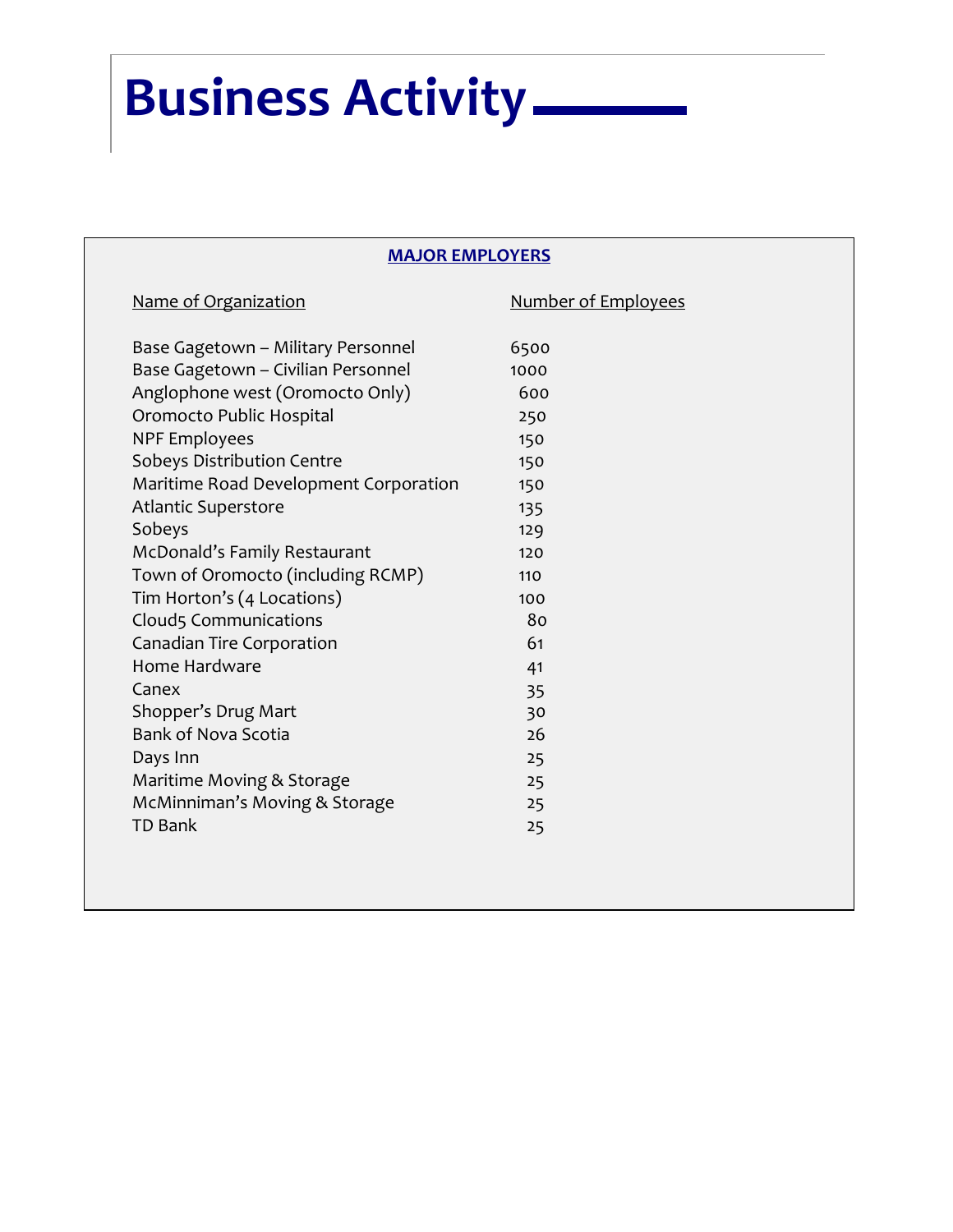# **Business Activity**

#### **MAJOR EMPLOYERS**

| Name of Organization                  | <b>Number of Employees</b> |
|---------------------------------------|----------------------------|
| Base Gagetown - Military Personnel    | 6500                       |
| Base Gagetown - Civilian Personnel    | 1000                       |
| Anglophone west (Oromocto Only)       | 600                        |
| Oromocto Public Hospital              | 250                        |
| <b>NPF Employees</b>                  | 150                        |
| Sobeys Distribution Centre            | 150                        |
| Maritime Road Development Corporation | 150                        |
| <b>Atlantic Superstore</b>            | 135                        |
| Sobeys                                | 129                        |
| McDonald's Family Restaurant          | 120                        |
| Town of Oromocto (including RCMP)     | 110                        |
| Tim Horton's (4 Locations)            | 100                        |
| Cloud5 Communications                 | 80                         |
| Canadian Tire Corporation             | 61                         |
| Home Hardware                         | 41                         |
| Canex                                 | 35                         |
| Shopper's Drug Mart                   | 30                         |
| <b>Bank of Nova Scotia</b>            | 26                         |
| Days Inn                              | 25                         |
| Maritime Moving & Storage             | 25                         |
| McMinniman's Moving & Storage         | 25                         |
| <b>TD Bank</b>                        | 25                         |
|                                       |                            |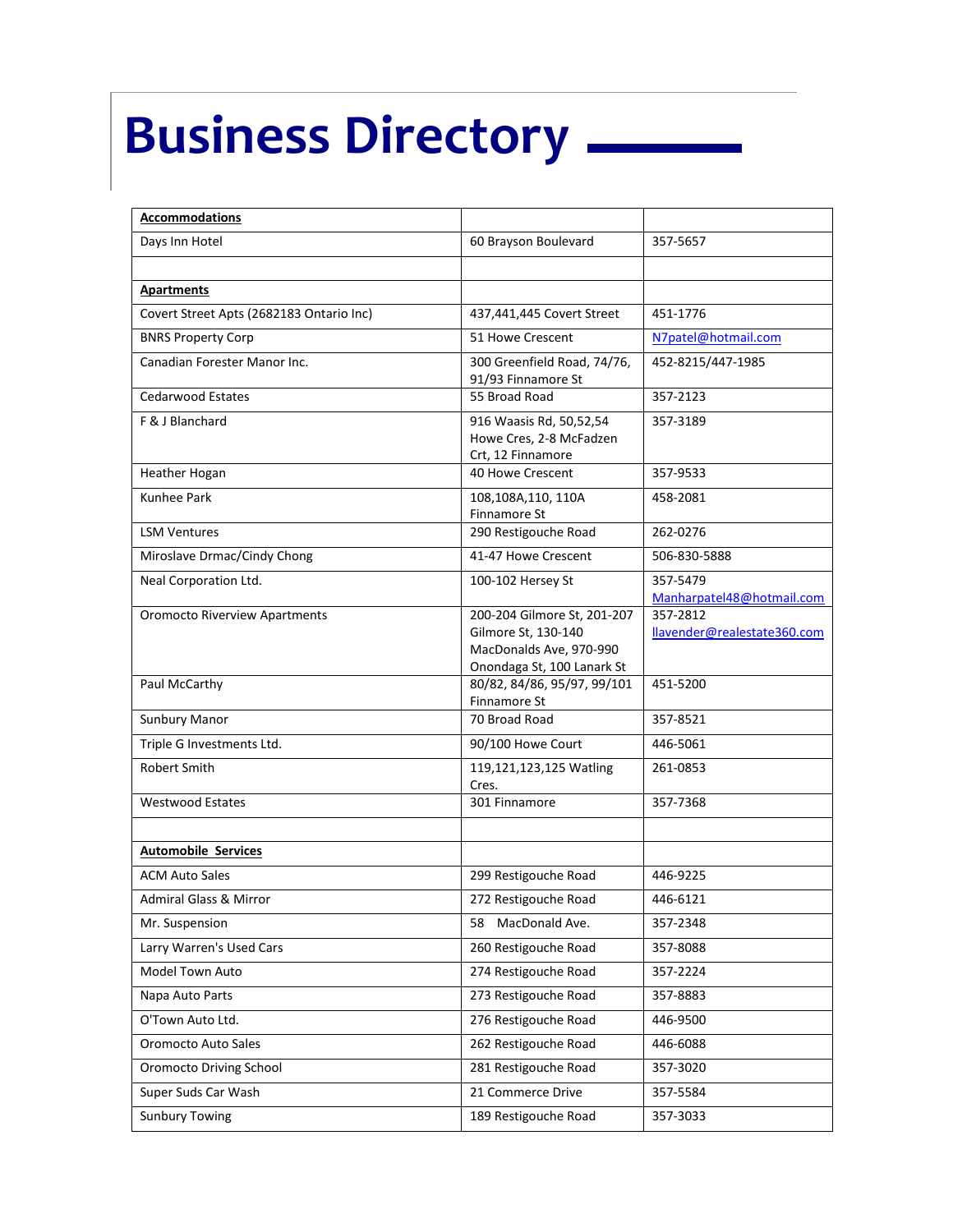# **Business Directory**

| <b>Accommodations</b>                    |                                                                                                             |                                         |
|------------------------------------------|-------------------------------------------------------------------------------------------------------------|-----------------------------------------|
| Days Inn Hotel                           | 60 Brayson Boulevard                                                                                        | 357-5657                                |
|                                          |                                                                                                             |                                         |
| <b>Apartments</b>                        |                                                                                                             |                                         |
| Covert Street Apts (2682183 Ontario Inc) | 437,441,445 Covert Street                                                                                   | 451-1776                                |
| <b>BNRS Property Corp</b>                | 51 Howe Crescent                                                                                            | N7patel@hotmail.com                     |
| Canadian Forester Manor Inc.             | 300 Greenfield Road, 74/76,<br>91/93 Finnamore St                                                           | 452-8215/447-1985                       |
| <b>Cedarwood Estates</b>                 | 55 Broad Road                                                                                               | 357-2123                                |
| F & J Blanchard                          | 916 Waasis Rd, 50,52,54<br>Howe Cres, 2-8 McFadzen<br>Crt, 12 Finnamore                                     | 357-3189                                |
| Heather Hogan                            | 40 Howe Crescent                                                                                            | 357-9533                                |
| <b>Kunhee Park</b>                       | 108,108A,110, 110A<br>Finnamore St                                                                          | 458-2081                                |
| <b>LSM Ventures</b>                      | 290 Restigouche Road                                                                                        | 262-0276                                |
| Miroslave Drmac/Cindy Chong              | 41-47 Howe Crescent                                                                                         | 506-830-5888                            |
| Neal Corporation Ltd.                    | 100-102 Hersey St                                                                                           | 357-5479<br>Manharpatel48@hotmail.com   |
| <b>Oromocto Riverview Apartments</b>     | 200-204 Gilmore St, 201-207<br>Gilmore St, 130-140<br>MacDonalds Ave, 970-990<br>Onondaga St, 100 Lanark St | 357-2812<br>llavender@realestate360.com |
| Paul McCarthy                            | 80/82, 84/86, 95/97, 99/101<br>Finnamore St                                                                 | 451-5200                                |
| Sunbury Manor                            | 70 Broad Road                                                                                               | 357-8521                                |
| Triple G Investments Ltd.                | 90/100 Howe Court                                                                                           | 446-5061                                |
| Robert Smith                             | 119,121,123,125 Watling<br>Cres.                                                                            | 261-0853                                |
| <b>Westwood Estates</b>                  | 301 Finnamore                                                                                               | 357-7368                                |
|                                          |                                                                                                             |                                         |
| <b>Automobile Services</b>               |                                                                                                             |                                         |
| <b>ACM Auto Sales</b>                    | 299 Restigouche Road                                                                                        | 446-9225                                |
| <b>Admiral Glass &amp; Mirror</b>        | 272 Restigouche Road                                                                                        | 446-6121                                |
| Mr. Suspension                           | 58 MacDonald Ave.                                                                                           | 357-2348                                |
| Larry Warren's Used Cars                 | 260 Restigouche Road                                                                                        | 357-8088                                |
| Model Town Auto                          | 274 Restigouche Road                                                                                        | 357-2224                                |
| Napa Auto Parts                          | 273 Restigouche Road                                                                                        | 357-8883                                |
| O'Town Auto Ltd.                         | 276 Restigouche Road                                                                                        | 446-9500                                |
| Oromocto Auto Sales                      | 262 Restigouche Road                                                                                        | 446-6088                                |
| Oromocto Driving School                  | 281 Restigouche Road                                                                                        | 357-3020                                |
| Super Suds Car Wash                      | 21 Commerce Drive                                                                                           | 357-5584                                |
| <b>Sunbury Towing</b>                    | 189 Restigouche Road                                                                                        | 357-3033                                |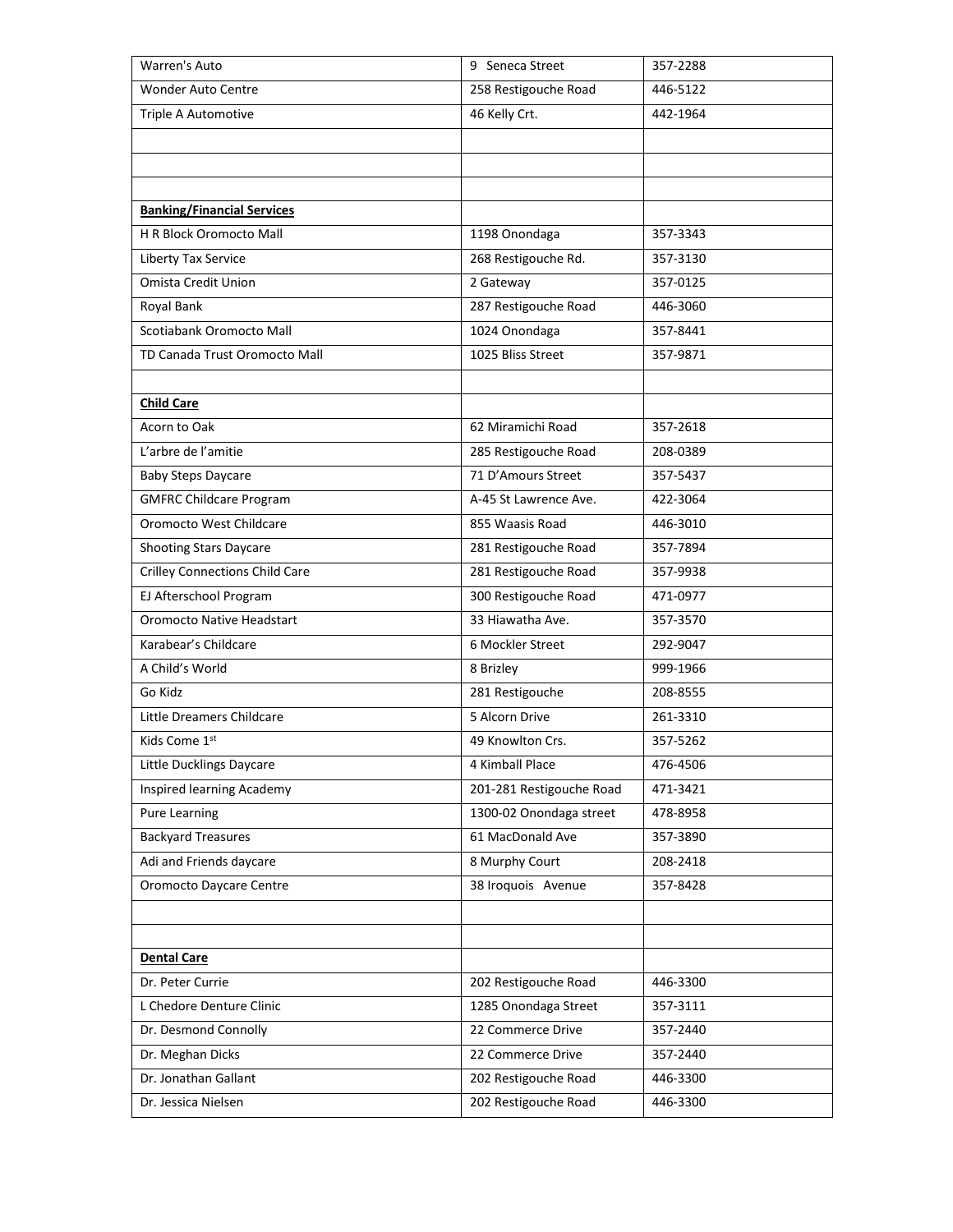| Warren's Auto                         | 9 Seneca Street          | 357-2288 |
|---------------------------------------|--------------------------|----------|
| <b>Wonder Auto Centre</b>             | 258 Restigouche Road     | 446-5122 |
| Triple A Automotive                   | 46 Kelly Crt.            | 442-1964 |
|                                       |                          |          |
|                                       |                          |          |
|                                       |                          |          |
| <b>Banking/Financial Services</b>     |                          |          |
| H R Block Oromocto Mall               | 1198 Onondaga            | 357-3343 |
| Liberty Tax Service                   | 268 Restigouche Rd.      | 357-3130 |
| Omista Credit Union                   | 2 Gateway                | 357-0125 |
| Royal Bank                            | 287 Restigouche Road     | 446-3060 |
| Scotiabank Oromocto Mall              | 1024 Onondaga            | 357-8441 |
| TD Canada Trust Oromocto Mall         | 1025 Bliss Street        | 357-9871 |
|                                       |                          |          |
| <b>Child Care</b>                     |                          |          |
| Acorn to Oak                          | 62 Miramichi Road        | 357-2618 |
| L'arbre de l'amitie                   | 285 Restigouche Road     | 208-0389 |
| <b>Baby Steps Daycare</b>             | 71 D'Amours Street       | 357-5437 |
| <b>GMFRC Childcare Program</b>        | A-45 St Lawrence Ave.    | 422-3064 |
| Oromocto West Childcare               | 855 Waasis Road          | 446-3010 |
| <b>Shooting Stars Daycare</b>         | 281 Restigouche Road     | 357-7894 |
| <b>Crilley Connections Child Care</b> | 281 Restigouche Road     | 357-9938 |
| EJ Afterschool Program                | 300 Restigouche Road     | 471-0977 |
| <b>Oromocto Native Headstart</b>      | 33 Hiawatha Ave.         | 357-3570 |
| Karabear's Childcare                  | 6 Mockler Street         | 292-9047 |
| A Child's World                       | 8 Brizley                | 999-1966 |
| Go Kidz                               | 281 Restigouche          | 208-8555 |
| Little Dreamers Childcare             | 5 Alcorn Drive           | 261-3310 |
| Kids Come 1st                         | 49 Knowlton Crs.         | 357-5262 |
| Little Ducklings Daycare              | 4 Kimball Place          | 476-4506 |
| Inspired learning Academy             | 201-281 Restigouche Road | 471-3421 |
| <b>Pure Learning</b>                  | 1300-02 Onondaga street  | 478-8958 |
| <b>Backyard Treasures</b>             | 61 MacDonald Ave         | 357-3890 |
| Adi and Friends daycare               | 8 Murphy Court           | 208-2418 |
| <b>Oromocto Daycare Centre</b>        | 38 Iroquois Avenue       | 357-8428 |
|                                       |                          |          |
|                                       |                          |          |
| <b>Dental Care</b>                    |                          |          |
| Dr. Peter Currie                      | 202 Restigouche Road     | 446-3300 |
| L Chedore Denture Clinic              | 1285 Onondaga Street     | 357-3111 |
| Dr. Desmond Connolly                  | 22 Commerce Drive        | 357-2440 |
| Dr. Meghan Dicks                      | 22 Commerce Drive        | 357-2440 |
| Dr. Jonathan Gallant                  | 202 Restigouche Road     | 446-3300 |
| Dr. Jessica Nielsen                   | 202 Restigouche Road     | 446-3300 |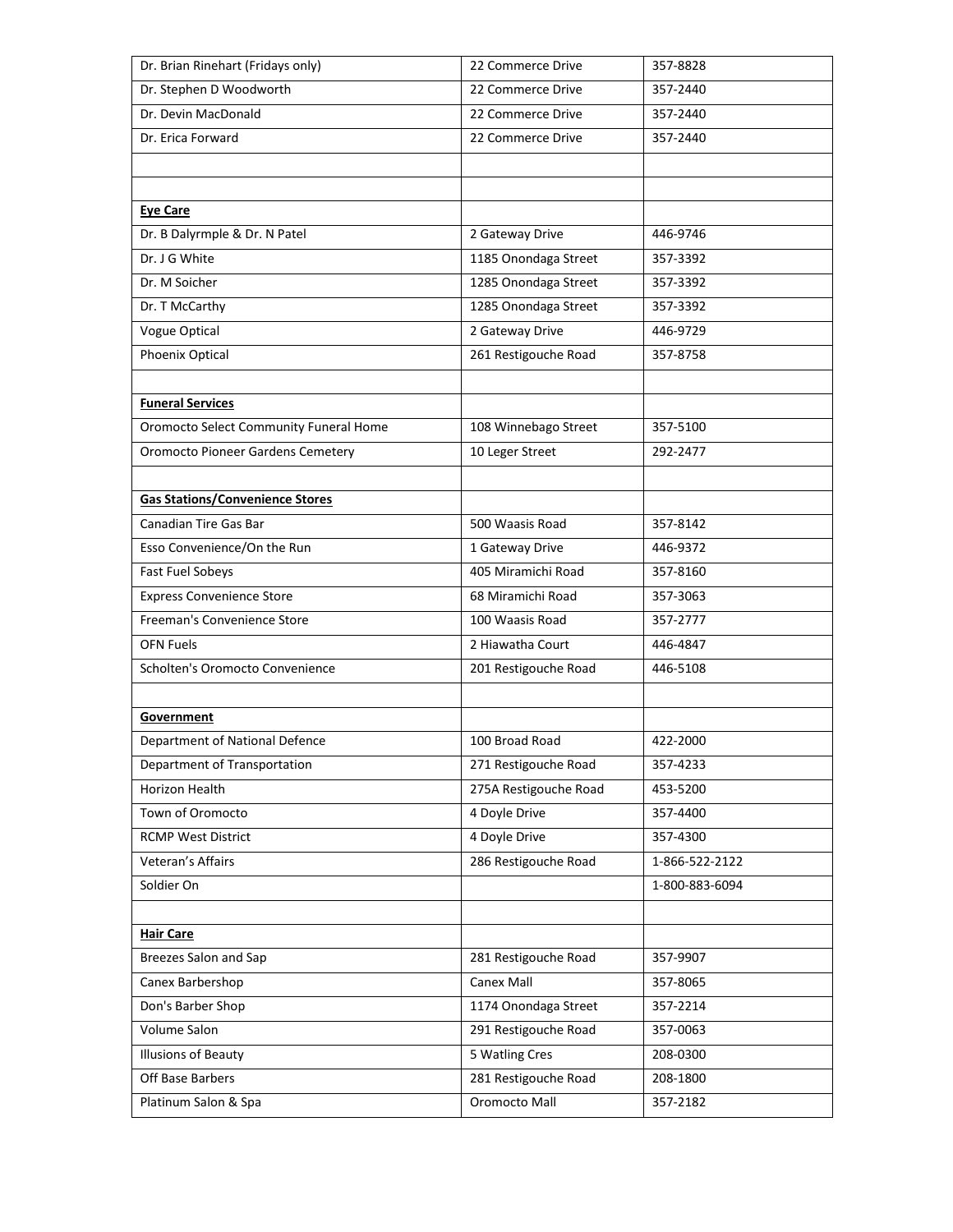| Dr. Brian Rinehart (Fridays only)        | 22 Commerce Drive     | 357-8828       |
|------------------------------------------|-----------------------|----------------|
| Dr. Stephen D Woodworth                  | 22 Commerce Drive     | 357-2440       |
| Dr. Devin MacDonald                      | 22 Commerce Drive     | 357-2440       |
| Dr. Erica Forward                        | 22 Commerce Drive     | 357-2440       |
|                                          |                       |                |
|                                          |                       |                |
| <b>Eye Care</b>                          |                       |                |
| Dr. B Dalyrmple & Dr. N Patel            | 2 Gateway Drive       | 446-9746       |
| Dr. J G White                            | 1185 Onondaga Street  | 357-3392       |
| Dr. M Soicher                            | 1285 Onondaga Street  | 357-3392       |
| Dr. T McCarthy                           | 1285 Onondaga Street  | 357-3392       |
| Vogue Optical                            | 2 Gateway Drive       | 446-9729       |
| Phoenix Optical                          | 261 Restigouche Road  | 357-8758       |
|                                          |                       |                |
| <b>Funeral Services</b>                  |                       |                |
| Oromocto Select Community Funeral Home   | 108 Winnebago Street  | 357-5100       |
| <b>Oromocto Pioneer Gardens Cemetery</b> | 10 Leger Street       | 292-2477       |
|                                          |                       |                |
| <b>Gas Stations/Convenience Stores</b>   |                       |                |
| Canadian Tire Gas Bar                    | 500 Waasis Road       | 357-8142       |
| Esso Convenience/On the Run              | 1 Gateway Drive       | 446-9372       |
| Fast Fuel Sobeys                         | 405 Miramichi Road    | 357-8160       |
| <b>Express Convenience Store</b>         | 68 Miramichi Road     | 357-3063       |
| Freeman's Convenience Store              | 100 Waasis Road       | 357-2777       |
| <b>OFN Fuels</b>                         | 2 Hiawatha Court      | 446-4847       |
| Scholten's Oromocto Convenience          | 201 Restigouche Road  | 446-5108       |
|                                          |                       |                |
| Government                               |                       |                |
| Department of National Defence           | 100 Broad Road        | 422-2000       |
| Department of Transportation             | 271 Restigouche Road  | 357-4233       |
| Horizon Health                           | 275A Restigouche Road | 453-5200       |
| Town of Oromocto                         | 4 Doyle Drive         | 357-4400       |
| <b>RCMP West District</b>                | 4 Doyle Drive         | 357-4300       |
| Veteran's Affairs                        | 286 Restigouche Road  | 1-866-522-2122 |
| Soldier On                               |                       | 1-800-883-6094 |
|                                          |                       |                |
| <b>Hair Care</b>                         |                       |                |
| Breezes Salon and Sap                    | 281 Restigouche Road  | 357-9907       |
| Canex Barbershop                         | Canex Mall            | 357-8065       |
| Don's Barber Shop                        | 1174 Onondaga Street  | 357-2214       |
| Volume Salon                             | 291 Restigouche Road  | 357-0063       |
| Illusions of Beauty                      | 5 Watling Cres        | 208-0300       |
| Off Base Barbers                         | 281 Restigouche Road  | 208-1800       |
| Platinum Salon & Spa                     | Oromocto Mall         | 357-2182       |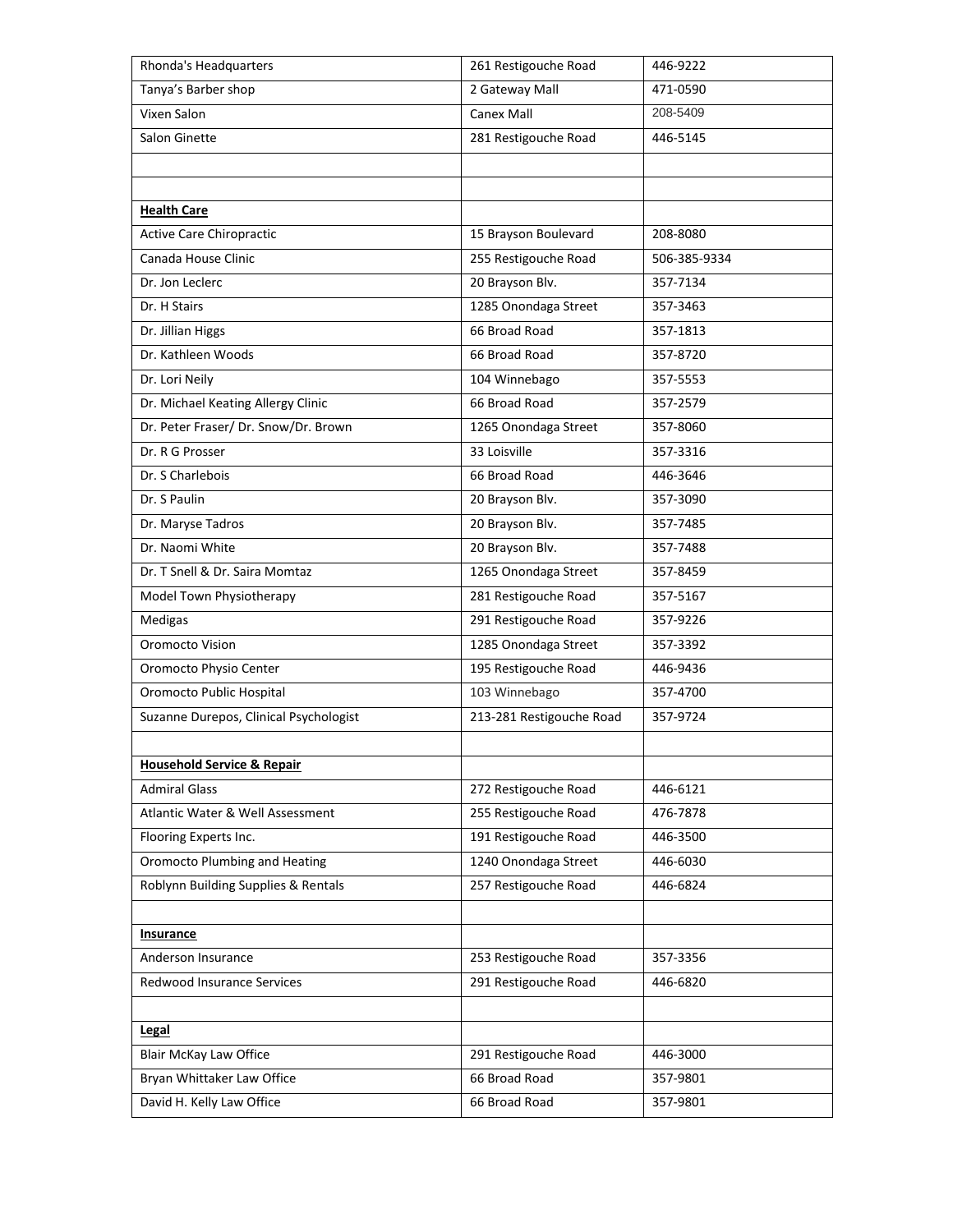| Tanya's Barber shop<br>2 Gateway Mall<br>471-0590<br>208-5409<br><b>Canex Mall</b><br>Vixen Salon<br>Salon Ginette<br>281 Restigouche Road<br>446-5145<br><b>Health Care</b><br><b>Active Care Chiropractic</b><br>15 Brayson Boulevard<br>208-8080<br>Canada House Clinic<br>255 Restigouche Road<br>506-385-9334<br>20 Brayson Blv.<br>Dr. Jon Leclerc<br>357-7134<br>Dr. H Stairs<br>1285 Onondaga Street<br>357-3463<br>66 Broad Road<br>Dr. Jillian Higgs<br>357-1813<br>Dr. Kathleen Woods<br>66 Broad Road<br>357-8720<br>Dr. Lori Neily<br>104 Winnebago<br>357-5553<br>66 Broad Road<br>Dr. Michael Keating Allergy Clinic<br>357-2579<br>Dr. Peter Fraser/ Dr. Snow/Dr. Brown<br>1265 Onondaga Street<br>357-8060<br>33 Loisville<br>Dr. R G Prosser<br>357-3316<br>66 Broad Road<br>Dr. S Charlebois<br>446-3646<br>Dr. S Paulin<br>20 Brayson Blv.<br>357-3090<br>Dr. Maryse Tadros<br>20 Brayson Blv.<br>357-7485<br>Dr. Naomi White<br>20 Brayson Blv.<br>357-7488<br>Dr. T Snell & Dr. Saira Momtaz<br>1265 Onondaga Street<br>357-8459<br>281 Restigouche Road<br>Model Town Physiotherapy<br>357-5167<br>291 Restigouche Road<br>Medigas<br>357-9226<br>Oromocto Vision<br>1285 Onondaga Street<br>357-3392<br>195 Restigouche Road<br>Oromocto Physio Center<br>446-9436<br>Oromocto Public Hospital<br>103 Winnebago<br>357-4700<br>Suzanne Durepos, Clinical Psychologist<br>213-281 Restigouche Road<br>357-9724<br><b>Household Service &amp; Repair</b><br><b>Admiral Glass</b><br>272 Restigouche Road<br>446-6121<br>Atlantic Water & Well Assessment<br>255 Restigouche Road<br>476-7878<br>Flooring Experts Inc.<br>191 Restigouche Road<br>446-3500<br>Oromocto Plumbing and Heating<br>1240 Onondaga Street<br>446-6030<br>Roblynn Building Supplies & Rentals<br>257 Restigouche Road<br>446-6824<br><b>Insurance</b><br>Anderson Insurance<br>253 Restigouche Road<br>357-3356<br>Redwood Insurance Services<br>291 Restigouche Road<br>446-6820<br>Legal<br><b>Blair McKay Law Office</b><br>291 Restigouche Road<br>446-3000<br>357-9801 |                                             |  |
|---------------------------------------------------------------------------------------------------------------------------------------------------------------------------------------------------------------------------------------------------------------------------------------------------------------------------------------------------------------------------------------------------------------------------------------------------------------------------------------------------------------------------------------------------------------------------------------------------------------------------------------------------------------------------------------------------------------------------------------------------------------------------------------------------------------------------------------------------------------------------------------------------------------------------------------------------------------------------------------------------------------------------------------------------------------------------------------------------------------------------------------------------------------------------------------------------------------------------------------------------------------------------------------------------------------------------------------------------------------------------------------------------------------------------------------------------------------------------------------------------------------------------------------------------------------------------------------------------------------------------------------------------------------------------------------------------------------------------------------------------------------------------------------------------------------------------------------------------------------------------------------------------------------------------------------------------------------------------------------------------------------------------------------------------------------------------|---------------------------------------------|--|
|                                                                                                                                                                                                                                                                                                                                                                                                                                                                                                                                                                                                                                                                                                                                                                                                                                                                                                                                                                                                                                                                                                                                                                                                                                                                                                                                                                                                                                                                                                                                                                                                                                                                                                                                                                                                                                                                                                                                                                                                                                                                           |                                             |  |
|                                                                                                                                                                                                                                                                                                                                                                                                                                                                                                                                                                                                                                                                                                                                                                                                                                                                                                                                                                                                                                                                                                                                                                                                                                                                                                                                                                                                                                                                                                                                                                                                                                                                                                                                                                                                                                                                                                                                                                                                                                                                           |                                             |  |
|                                                                                                                                                                                                                                                                                                                                                                                                                                                                                                                                                                                                                                                                                                                                                                                                                                                                                                                                                                                                                                                                                                                                                                                                                                                                                                                                                                                                                                                                                                                                                                                                                                                                                                                                                                                                                                                                                                                                                                                                                                                                           |                                             |  |
|                                                                                                                                                                                                                                                                                                                                                                                                                                                                                                                                                                                                                                                                                                                                                                                                                                                                                                                                                                                                                                                                                                                                                                                                                                                                                                                                                                                                                                                                                                                                                                                                                                                                                                                                                                                                                                                                                                                                                                                                                                                                           |                                             |  |
|                                                                                                                                                                                                                                                                                                                                                                                                                                                                                                                                                                                                                                                                                                                                                                                                                                                                                                                                                                                                                                                                                                                                                                                                                                                                                                                                                                                                                                                                                                                                                                                                                                                                                                                                                                                                                                                                                                                                                                                                                                                                           |                                             |  |
|                                                                                                                                                                                                                                                                                                                                                                                                                                                                                                                                                                                                                                                                                                                                                                                                                                                                                                                                                                                                                                                                                                                                                                                                                                                                                                                                                                                                                                                                                                                                                                                                                                                                                                                                                                                                                                                                                                                                                                                                                                                                           |                                             |  |
|                                                                                                                                                                                                                                                                                                                                                                                                                                                                                                                                                                                                                                                                                                                                                                                                                                                                                                                                                                                                                                                                                                                                                                                                                                                                                                                                                                                                                                                                                                                                                                                                                                                                                                                                                                                                                                                                                                                                                                                                                                                                           |                                             |  |
|                                                                                                                                                                                                                                                                                                                                                                                                                                                                                                                                                                                                                                                                                                                                                                                                                                                                                                                                                                                                                                                                                                                                                                                                                                                                                                                                                                                                                                                                                                                                                                                                                                                                                                                                                                                                                                                                                                                                                                                                                                                                           |                                             |  |
|                                                                                                                                                                                                                                                                                                                                                                                                                                                                                                                                                                                                                                                                                                                                                                                                                                                                                                                                                                                                                                                                                                                                                                                                                                                                                                                                                                                                                                                                                                                                                                                                                                                                                                                                                                                                                                                                                                                                                                                                                                                                           |                                             |  |
|                                                                                                                                                                                                                                                                                                                                                                                                                                                                                                                                                                                                                                                                                                                                                                                                                                                                                                                                                                                                                                                                                                                                                                                                                                                                                                                                                                                                                                                                                                                                                                                                                                                                                                                                                                                                                                                                                                                                                                                                                                                                           |                                             |  |
|                                                                                                                                                                                                                                                                                                                                                                                                                                                                                                                                                                                                                                                                                                                                                                                                                                                                                                                                                                                                                                                                                                                                                                                                                                                                                                                                                                                                                                                                                                                                                                                                                                                                                                                                                                                                                                                                                                                                                                                                                                                                           |                                             |  |
|                                                                                                                                                                                                                                                                                                                                                                                                                                                                                                                                                                                                                                                                                                                                                                                                                                                                                                                                                                                                                                                                                                                                                                                                                                                                                                                                                                                                                                                                                                                                                                                                                                                                                                                                                                                                                                                                                                                                                                                                                                                                           |                                             |  |
|                                                                                                                                                                                                                                                                                                                                                                                                                                                                                                                                                                                                                                                                                                                                                                                                                                                                                                                                                                                                                                                                                                                                                                                                                                                                                                                                                                                                                                                                                                                                                                                                                                                                                                                                                                                                                                                                                                                                                                                                                                                                           |                                             |  |
|                                                                                                                                                                                                                                                                                                                                                                                                                                                                                                                                                                                                                                                                                                                                                                                                                                                                                                                                                                                                                                                                                                                                                                                                                                                                                                                                                                                                                                                                                                                                                                                                                                                                                                                                                                                                                                                                                                                                                                                                                                                                           |                                             |  |
|                                                                                                                                                                                                                                                                                                                                                                                                                                                                                                                                                                                                                                                                                                                                                                                                                                                                                                                                                                                                                                                                                                                                                                                                                                                                                                                                                                                                                                                                                                                                                                                                                                                                                                                                                                                                                                                                                                                                                                                                                                                                           |                                             |  |
|                                                                                                                                                                                                                                                                                                                                                                                                                                                                                                                                                                                                                                                                                                                                                                                                                                                                                                                                                                                                                                                                                                                                                                                                                                                                                                                                                                                                                                                                                                                                                                                                                                                                                                                                                                                                                                                                                                                                                                                                                                                                           |                                             |  |
|                                                                                                                                                                                                                                                                                                                                                                                                                                                                                                                                                                                                                                                                                                                                                                                                                                                                                                                                                                                                                                                                                                                                                                                                                                                                                                                                                                                                                                                                                                                                                                                                                                                                                                                                                                                                                                                                                                                                                                                                                                                                           |                                             |  |
|                                                                                                                                                                                                                                                                                                                                                                                                                                                                                                                                                                                                                                                                                                                                                                                                                                                                                                                                                                                                                                                                                                                                                                                                                                                                                                                                                                                                                                                                                                                                                                                                                                                                                                                                                                                                                                                                                                                                                                                                                                                                           |                                             |  |
|                                                                                                                                                                                                                                                                                                                                                                                                                                                                                                                                                                                                                                                                                                                                                                                                                                                                                                                                                                                                                                                                                                                                                                                                                                                                                                                                                                                                                                                                                                                                                                                                                                                                                                                                                                                                                                                                                                                                                                                                                                                                           |                                             |  |
|                                                                                                                                                                                                                                                                                                                                                                                                                                                                                                                                                                                                                                                                                                                                                                                                                                                                                                                                                                                                                                                                                                                                                                                                                                                                                                                                                                                                                                                                                                                                                                                                                                                                                                                                                                                                                                                                                                                                                                                                                                                                           |                                             |  |
|                                                                                                                                                                                                                                                                                                                                                                                                                                                                                                                                                                                                                                                                                                                                                                                                                                                                                                                                                                                                                                                                                                                                                                                                                                                                                                                                                                                                                                                                                                                                                                                                                                                                                                                                                                                                                                                                                                                                                                                                                                                                           |                                             |  |
|                                                                                                                                                                                                                                                                                                                                                                                                                                                                                                                                                                                                                                                                                                                                                                                                                                                                                                                                                                                                                                                                                                                                                                                                                                                                                                                                                                                                                                                                                                                                                                                                                                                                                                                                                                                                                                                                                                                                                                                                                                                                           |                                             |  |
|                                                                                                                                                                                                                                                                                                                                                                                                                                                                                                                                                                                                                                                                                                                                                                                                                                                                                                                                                                                                                                                                                                                                                                                                                                                                                                                                                                                                                                                                                                                                                                                                                                                                                                                                                                                                                                                                                                                                                                                                                                                                           |                                             |  |
|                                                                                                                                                                                                                                                                                                                                                                                                                                                                                                                                                                                                                                                                                                                                                                                                                                                                                                                                                                                                                                                                                                                                                                                                                                                                                                                                                                                                                                                                                                                                                                                                                                                                                                                                                                                                                                                                                                                                                                                                                                                                           |                                             |  |
|                                                                                                                                                                                                                                                                                                                                                                                                                                                                                                                                                                                                                                                                                                                                                                                                                                                                                                                                                                                                                                                                                                                                                                                                                                                                                                                                                                                                                                                                                                                                                                                                                                                                                                                                                                                                                                                                                                                                                                                                                                                                           |                                             |  |
|                                                                                                                                                                                                                                                                                                                                                                                                                                                                                                                                                                                                                                                                                                                                                                                                                                                                                                                                                                                                                                                                                                                                                                                                                                                                                                                                                                                                                                                                                                                                                                                                                                                                                                                                                                                                                                                                                                                                                                                                                                                                           |                                             |  |
|                                                                                                                                                                                                                                                                                                                                                                                                                                                                                                                                                                                                                                                                                                                                                                                                                                                                                                                                                                                                                                                                                                                                                                                                                                                                                                                                                                                                                                                                                                                                                                                                                                                                                                                                                                                                                                                                                                                                                                                                                                                                           |                                             |  |
|                                                                                                                                                                                                                                                                                                                                                                                                                                                                                                                                                                                                                                                                                                                                                                                                                                                                                                                                                                                                                                                                                                                                                                                                                                                                                                                                                                                                                                                                                                                                                                                                                                                                                                                                                                                                                                                                                                                                                                                                                                                                           |                                             |  |
|                                                                                                                                                                                                                                                                                                                                                                                                                                                                                                                                                                                                                                                                                                                                                                                                                                                                                                                                                                                                                                                                                                                                                                                                                                                                                                                                                                                                                                                                                                                                                                                                                                                                                                                                                                                                                                                                                                                                                                                                                                                                           |                                             |  |
|                                                                                                                                                                                                                                                                                                                                                                                                                                                                                                                                                                                                                                                                                                                                                                                                                                                                                                                                                                                                                                                                                                                                                                                                                                                                                                                                                                                                                                                                                                                                                                                                                                                                                                                                                                                                                                                                                                                                                                                                                                                                           |                                             |  |
|                                                                                                                                                                                                                                                                                                                                                                                                                                                                                                                                                                                                                                                                                                                                                                                                                                                                                                                                                                                                                                                                                                                                                                                                                                                                                                                                                                                                                                                                                                                                                                                                                                                                                                                                                                                                                                                                                                                                                                                                                                                                           |                                             |  |
|                                                                                                                                                                                                                                                                                                                                                                                                                                                                                                                                                                                                                                                                                                                                                                                                                                                                                                                                                                                                                                                                                                                                                                                                                                                                                                                                                                                                                                                                                                                                                                                                                                                                                                                                                                                                                                                                                                                                                                                                                                                                           |                                             |  |
|                                                                                                                                                                                                                                                                                                                                                                                                                                                                                                                                                                                                                                                                                                                                                                                                                                                                                                                                                                                                                                                                                                                                                                                                                                                                                                                                                                                                                                                                                                                                                                                                                                                                                                                                                                                                                                                                                                                                                                                                                                                                           |                                             |  |
|                                                                                                                                                                                                                                                                                                                                                                                                                                                                                                                                                                                                                                                                                                                                                                                                                                                                                                                                                                                                                                                                                                                                                                                                                                                                                                                                                                                                                                                                                                                                                                                                                                                                                                                                                                                                                                                                                                                                                                                                                                                                           |                                             |  |
|                                                                                                                                                                                                                                                                                                                                                                                                                                                                                                                                                                                                                                                                                                                                                                                                                                                                                                                                                                                                                                                                                                                                                                                                                                                                                                                                                                                                                                                                                                                                                                                                                                                                                                                                                                                                                                                                                                                                                                                                                                                                           |                                             |  |
|                                                                                                                                                                                                                                                                                                                                                                                                                                                                                                                                                                                                                                                                                                                                                                                                                                                                                                                                                                                                                                                                                                                                                                                                                                                                                                                                                                                                                                                                                                                                                                                                                                                                                                                                                                                                                                                                                                                                                                                                                                                                           |                                             |  |
|                                                                                                                                                                                                                                                                                                                                                                                                                                                                                                                                                                                                                                                                                                                                                                                                                                                                                                                                                                                                                                                                                                                                                                                                                                                                                                                                                                                                                                                                                                                                                                                                                                                                                                                                                                                                                                                                                                                                                                                                                                                                           |                                             |  |
|                                                                                                                                                                                                                                                                                                                                                                                                                                                                                                                                                                                                                                                                                                                                                                                                                                                                                                                                                                                                                                                                                                                                                                                                                                                                                                                                                                                                                                                                                                                                                                                                                                                                                                                                                                                                                                                                                                                                                                                                                                                                           |                                             |  |
|                                                                                                                                                                                                                                                                                                                                                                                                                                                                                                                                                                                                                                                                                                                                                                                                                                                                                                                                                                                                                                                                                                                                                                                                                                                                                                                                                                                                                                                                                                                                                                                                                                                                                                                                                                                                                                                                                                                                                                                                                                                                           |                                             |  |
|                                                                                                                                                                                                                                                                                                                                                                                                                                                                                                                                                                                                                                                                                                                                                                                                                                                                                                                                                                                                                                                                                                                                                                                                                                                                                                                                                                                                                                                                                                                                                                                                                                                                                                                                                                                                                                                                                                                                                                                                                                                                           |                                             |  |
|                                                                                                                                                                                                                                                                                                                                                                                                                                                                                                                                                                                                                                                                                                                                                                                                                                                                                                                                                                                                                                                                                                                                                                                                                                                                                                                                                                                                                                                                                                                                                                                                                                                                                                                                                                                                                                                                                                                                                                                                                                                                           |                                             |  |
|                                                                                                                                                                                                                                                                                                                                                                                                                                                                                                                                                                                                                                                                                                                                                                                                                                                                                                                                                                                                                                                                                                                                                                                                                                                                                                                                                                                                                                                                                                                                                                                                                                                                                                                                                                                                                                                                                                                                                                                                                                                                           | Bryan Whittaker Law Office<br>66 Broad Road |  |
| David H. Kelly Law Office<br>66 Broad Road<br>357-9801                                                                                                                                                                                                                                                                                                                                                                                                                                                                                                                                                                                                                                                                                                                                                                                                                                                                                                                                                                                                                                                                                                                                                                                                                                                                                                                                                                                                                                                                                                                                                                                                                                                                                                                                                                                                                                                                                                                                                                                                                    |                                             |  |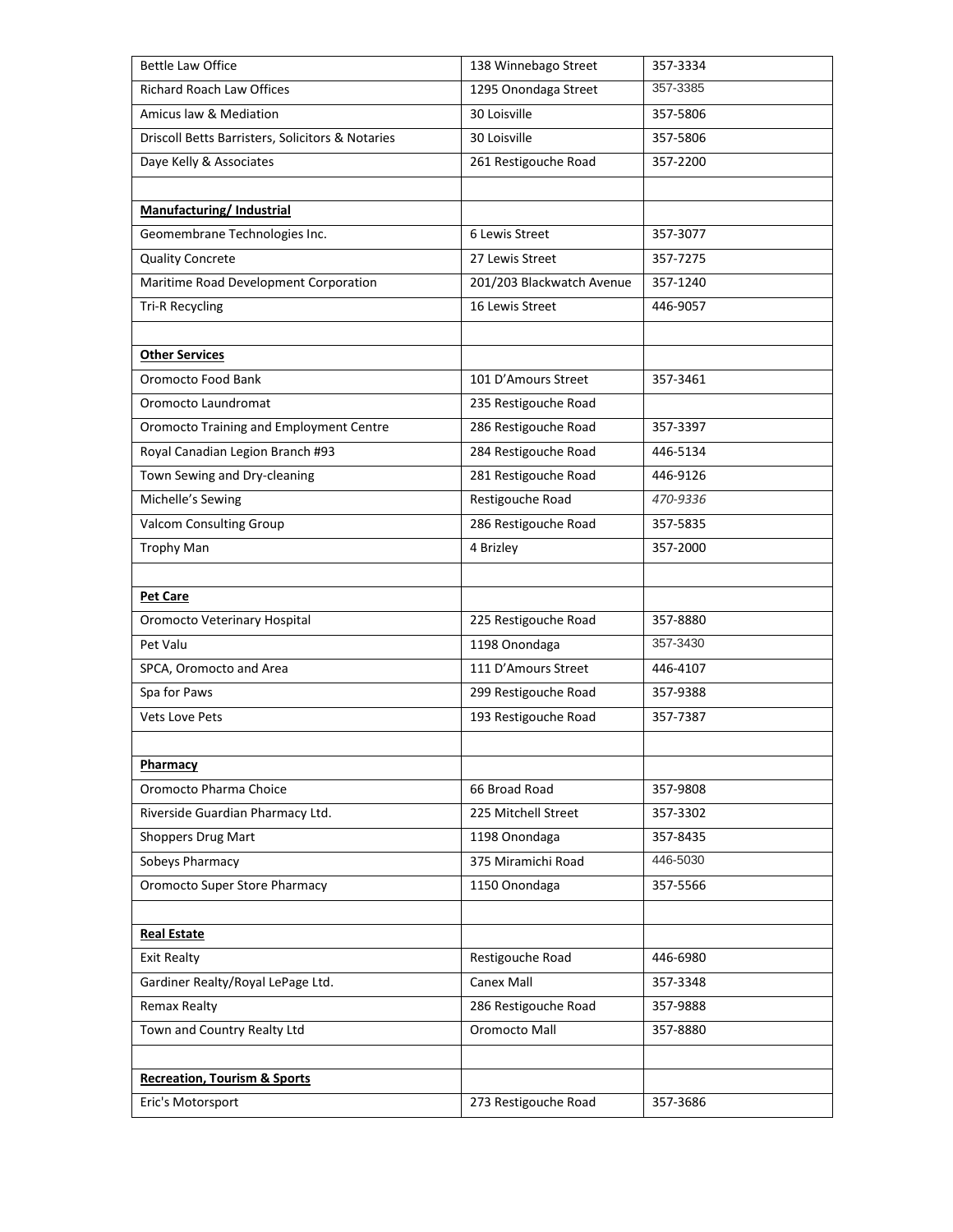| <b>Bettle Law Office</b>                         | 138 Winnebago Street      | 357-3334 |
|--------------------------------------------------|---------------------------|----------|
| <b>Richard Roach Law Offices</b>                 | 1295 Onondaga Street      | 357-3385 |
| Amicus law & Mediation                           | 30 Loisville              | 357-5806 |
| Driscoll Betts Barristers, Solicitors & Notaries | 30 Loisville              | 357-5806 |
| Daye Kelly & Associates                          | 261 Restigouche Road      | 357-2200 |
|                                                  |                           |          |
| <b>Manufacturing/Industrial</b>                  |                           |          |
| Geomembrane Technologies Inc.                    | 6 Lewis Street            | 357-3077 |
| <b>Quality Concrete</b>                          | 27 Lewis Street           | 357-7275 |
| Maritime Road Development Corporation            | 201/203 Blackwatch Avenue | 357-1240 |
| <b>Tri-R Recycling</b>                           | 16 Lewis Street           | 446-9057 |
|                                                  |                           |          |
| <b>Other Services</b>                            |                           |          |
| Oromocto Food Bank                               | 101 D'Amours Street       | 357-3461 |
| Oromocto Laundromat                              | 235 Restigouche Road      |          |
| Oromocto Training and Employment Centre          | 286 Restigouche Road      | 357-3397 |
| Royal Canadian Legion Branch #93                 | 284 Restigouche Road      | 446-5134 |
| Town Sewing and Dry-cleaning                     | 281 Restigouche Road      | 446-9126 |
| Michelle's Sewing                                | Restigouche Road          | 470-9336 |
| <b>Valcom Consulting Group</b>                   | 286 Restigouche Road      | 357-5835 |
| <b>Trophy Man</b>                                | 4 Brizley                 | 357-2000 |
|                                                  |                           |          |
| <b>Pet Care</b>                                  |                           |          |
| Oromocto Veterinary Hospital                     | 225 Restigouche Road      | 357-8880 |
| Pet Valu                                         | 1198 Onondaga             | 357-3430 |
| SPCA, Oromocto and Area                          | 111 D'Amours Street       | 446-4107 |
| Spa for Paws                                     | 299 Restigouche Road      | 357-9388 |
| <b>Vets Love Pets</b>                            | 193 Restigouche Road      | 357-7387 |
|                                                  |                           |          |
| Pharmacy                                         |                           |          |
| Oromocto Pharma Choice                           | 66 Broad Road             | 357-9808 |
| Riverside Guardian Pharmacy Ltd.                 | 225 Mitchell Street       | 357-3302 |
| <b>Shoppers Drug Mart</b>                        | 1198 Onondaga             | 357-8435 |
| Sobeys Pharmacy                                  | 375 Miramichi Road        | 446-5030 |
| <b>Oromocto Super Store Pharmacy</b>             | 1150 Onondaga             | 357-5566 |
|                                                  |                           |          |
| <b>Real Estate</b>                               |                           |          |
| <b>Exit Realty</b>                               | Restigouche Road          | 446-6980 |
| Gardiner Realty/Royal LePage Ltd.                | Canex Mall                | 357-3348 |
| <b>Remax Realty</b>                              | 286 Restigouche Road      | 357-9888 |
| Town and Country Realty Ltd                      | Oromocto Mall             | 357-8880 |
|                                                  |                           |          |
| <b>Recreation, Tourism &amp; Sports</b>          |                           |          |
| Eric's Motorsport                                | 273 Restigouche Road      | 357-3686 |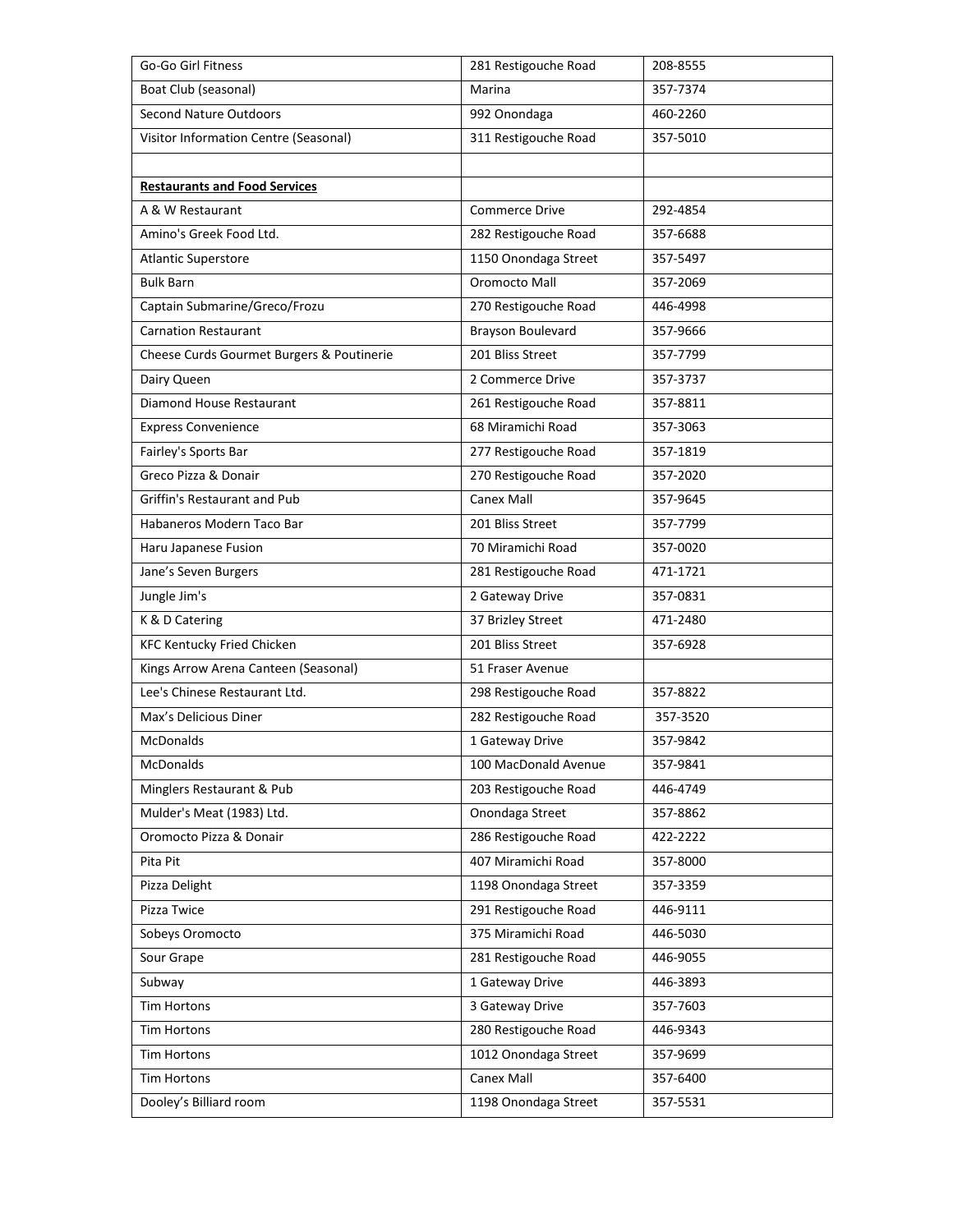| Go-Go Girl Fitness                        | 281 Restigouche Road  | 208-8555 |
|-------------------------------------------|-----------------------|----------|
| Boat Club (seasonal)                      | Marina                | 357-7374 |
| <b>Second Nature Outdoors</b>             | 992 Onondaga          | 460-2260 |
| Visitor Information Centre (Seasonal)     | 311 Restigouche Road  | 357-5010 |
|                                           |                       |          |
| <b>Restaurants and Food Services</b>      |                       |          |
| A & W Restaurant                          | <b>Commerce Drive</b> | 292-4854 |
| Amino's Greek Food Ltd.                   | 282 Restigouche Road  | 357-6688 |
| <b>Atlantic Superstore</b>                | 1150 Onondaga Street  | 357-5497 |
| <b>Bulk Barn</b>                          | Oromocto Mall         | 357-2069 |
| Captain Submarine/Greco/Frozu             | 270 Restigouche Road  | 446-4998 |
| <b>Carnation Restaurant</b>               | Brayson Boulevard     | 357-9666 |
| Cheese Curds Gourmet Burgers & Poutinerie | 201 Bliss Street      | 357-7799 |
| Dairy Queen                               | 2 Commerce Drive      | 357-3737 |
| Diamond House Restaurant                  | 261 Restigouche Road  | 357-8811 |
| <b>Express Convenience</b>                | 68 Miramichi Road     | 357-3063 |
| Fairley's Sports Bar                      | 277 Restigouche Road  | 357-1819 |
| Greco Pizza & Donair                      | 270 Restigouche Road  | 357-2020 |
| Griffin's Restaurant and Pub              | Canex Mall            | 357-9645 |
| Habaneros Modern Taco Bar                 | 201 Bliss Street      | 357-7799 |
| Haru Japanese Fusion                      | 70 Miramichi Road     | 357-0020 |
| Jane's Seven Burgers                      | 281 Restigouche Road  | 471-1721 |
| Jungle Jim's                              | 2 Gateway Drive       | 357-0831 |
| K & D Catering                            | 37 Brizley Street     | 471-2480 |
| <b>KFC Kentucky Fried Chicken</b>         | 201 Bliss Street      | 357-6928 |
| Kings Arrow Arena Canteen (Seasonal)      | 51 Fraser Avenue      |          |
| Lee's Chinese Restaurant Ltd.             | 298 Restigouche Road  | 357-8822 |
| Max's Delicious Diner                     | 282 Restigouche Road  | 357-3520 |
| <b>McDonalds</b>                          | 1 Gateway Drive       | 357-9842 |
| McDonalds                                 | 100 MacDonald Avenue  | 357-9841 |
| Minglers Restaurant & Pub                 | 203 Restigouche Road  | 446-4749 |
| Mulder's Meat (1983) Ltd.                 | Onondaga Street       | 357-8862 |
| Oromocto Pizza & Donair                   | 286 Restigouche Road  | 422-2222 |
| Pita Pit                                  | 407 Miramichi Road    | 357-8000 |
| Pizza Delight                             | 1198 Onondaga Street  | 357-3359 |
| Pizza Twice                               | 291 Restigouche Road  | 446-9111 |
| Sobeys Oromocto                           | 375 Miramichi Road    | 446-5030 |
| Sour Grape                                | 281 Restigouche Road  | 446-9055 |
| Subway                                    | 1 Gateway Drive       | 446-3893 |
| <b>Tim Hortons</b>                        | 3 Gateway Drive       | 357-7603 |
| <b>Tim Hortons</b>                        | 280 Restigouche Road  | 446-9343 |
| <b>Tim Hortons</b>                        | 1012 Onondaga Street  | 357-9699 |
| <b>Tim Hortons</b>                        | Canex Mall            | 357-6400 |
| Dooley's Billiard room                    | 1198 Onondaga Street  | 357-5531 |